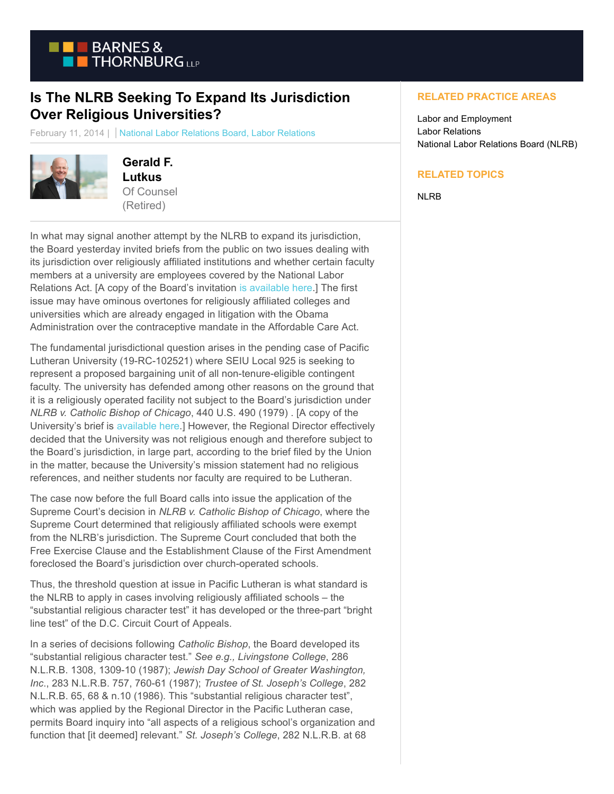

## **Is The NLRB Seeking To Expand Its Jurisdiction Over Religious Universities?**

February 11, 2014 | National Labor Relations Board, Labor Relations



```
Gerald F.
Lutkus
Of Counsel
(Retired)
```
In what may signal another attempt by the NLRB to expand its jurisdiction, the Board yesterday invited briefs from the public on two issues dealing with its jurisdiction over religiously affiliated institutions and whether certain faculty members at a university are employees covered by the National Labor Relations Act. [A copy of the Board's invitation [is available here.\]](https://btlaw.com/files/Uploads/Documents/Misc%20Blog%20Attachments/Pacific%20Lutheran%20Invitation%20to%20File%20Briefs.pdf) The first issue may have ominous overtones for religiously affiliated colleges and universities which are already engaged in litigation with the Obama Administration over the contraceptive mandate in the Affordable Care Act.

The fundamental jurisdictional question arises in the pending case of Pacific Lutheran University (19-RC-102521) where SEIU Local 925 is seeking to represent a proposed bargaining unit of all non-tenure-eligible contingent faculty. The university has defended among other reasons on the ground that it is a religiously operated facility not subject to the Board's jurisdiction under *NLRB v. Catholic Bishop of Chicago*, 440 U.S. 490 (1979) . [A copy of the University's brief is [available here.\]](https://btlaw.com/files/Uploads/Documents/Misc%20Blog%20Attachments/Pacific%20Lutheran%20Brief%20In%20Support%20of%20Review.pdf) However, the Regional Director effectively decided that the University was not religious enough and therefore subject to the Board's jurisdiction, in large part, according to the brief filed by the Union in the matter, because the University's mission statement had no religious references, and neither students nor faculty are required to be Lutheran.

The case now before the full Board calls into issue the application of the Supreme Court's decision in *NLRB v. Catholic Bishop of Chicago*, where the Supreme Court determined that religiously affiliated schools were exempt from the NLRB's jurisdiction. The Supreme Court concluded that both the Free Exercise Clause and the Establishment Clause of the First Amendment foreclosed the Board's jurisdiction over church-operated schools.

Thus, the threshold question at issue in Pacific Lutheran is what standard is the NLRB to apply in cases involving religiously affiliated schools – the "substantial religious character test" it has developed or the three-part "bright line test" of the D.C. Circuit Court of Appeals.

In a series of decisions following *Catholic Bishop*, the Board developed its "substantial religious character test." *See e.g., Livingstone College*, 286 N.L.R.B. 1308, 1309-10 (1987); *Jewish Day School of Greater Washington, Inc*., 283 N.L.R.B. 757, 760-61 (1987); *Trustee of St. Joseph's College*, 282 N.L.R.B. 65, 68 & n.10 (1986). This "substantial religious character test", which was applied by the Regional Director in the Pacific Lutheran case, permits Board inquiry into "all aspects of a religious school's organization and function that [it deemed] relevant." *St. Joseph's College*, 282 N.L.R.B. at 68

## **RELATED PRACTICE AREAS**

Labor and Employment Labor Relations National Labor Relations Board (NLRB)

## **RELATED TOPICS**

NLRB